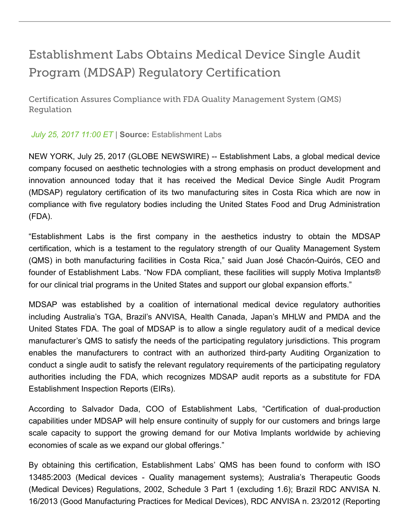## Establishment Labs Obtains Medical Device Single Audit Program (MDSAP) Regulatory Certification

Certification Assures Compliance with FDA Quality Management System (QMS) Regulation

*July 25, 2017 11:00 ET* | **Source:** Establishment Labs

NEW YORK, July 25, 2017 (GLOBE NEWSWIRE) Establishment Labs, a global medical device company focused on aesthetic technologies with a strong emphasis on product development and innovation announced today that it has received the Medical Device Single Audit Program (MDSAP) regulatory certification of its two manufacturing sites in Costa Rica which are now in compliance with five regulatory bodies including the United States Food and Drug Administration (FDA).

"Establishment Labs is the first company in the aesthetics industry to obtain the MDSAP certification, which is a testament to the regulatory strength of our Quality Management System (QMS) in both manufacturing facilities in Costa Rica," said Juan José Chacón-Quirós, CEO and founder of Establishment Labs. "Now FDA compliant, these facilities will supply Motiva Implants® for our clinical trial programs in the United States and support our global expansion efforts."

MDSAP was established by a coalition of international medical device regulatory authorities including Australia's TGA, Brazil's ANVISA, Health Canada, Japan's MHLW and PMDA and the United States FDA. The goal of MDSAP is to allow a single regulatory audit of a medical device manufacturer's QMS to satisfy the needs of the participating regulatory jurisdictions. This program enables the manufacturers to contract with an authorized third-party Auditing Organization to conduct a single audit to satisfy the relevant regulatory requirements of the participating regulatory authorities including the FDA, which recognizes MDSAP audit reports as a substitute for FDA Establishment Inspection Reports (EIRs).

According to Salvador Dada, COO of Establishment Labs, "Certification of dual-production capabilities under MDSAP will help ensure continuity of supply for our customers and brings large scale capacity to support the growing demand for our Motiva Implants worldwide by achieving economies of scale as we expand our global offerings."

By obtaining this certification, Establishment Labs' QMS has been found to conform with ISO 13485:2003 (Medical devices Quality management systems); Australia's Therapeutic Goods (Medical Devices) Regulations, 2002, Schedule 3 Part 1 (excluding 1.6); Brazil RDC ANVISA N. 16/2013 (Good Manufacturing Practices for Medical Devices), RDC ANVISA n. 23/2012 (Reporting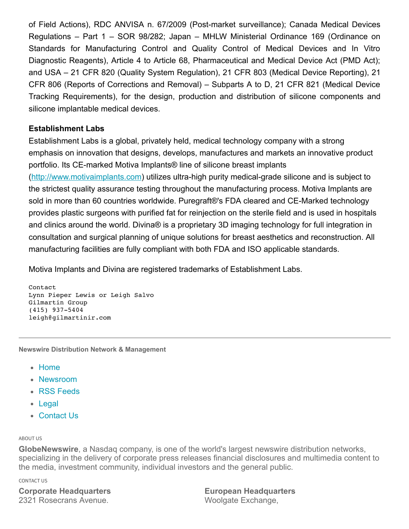of Field Actions), RDC ANVISA n. 67/2009 (Post-market surveillance); Canada Medical Devices Regulations – Part 1 – SOR 98/282; Japan – MHLW Ministerial Ordinance 169 (Ordinance on Standards for Manufacturing Control and Quality Control of Medical Devices and In Vitro Diagnostic Reagents), Article 4 to Article 68, Pharmaceutical and Medical Device Act (PMD Act); and USA – 21 CFR 820 (Quality System Regulation), 21 CFR 803 (Medical Device Reporting), 21 CFR 806 (Reports of Corrections and Removal) – Subparts A to D, 21 CFR 821 (Medical Device Tracking Requirements), for the design, production and distribution of silicone components and silicone implantable medical devices.

## **Establishment Labs**

Establishment Labs is a global, privately held, medical technology company with a strong emphasis on innovation that designs, develops, manufactures and markets an innovative product portfolio. Its CE-marked Motiva Implants® line of silicone breast implants [\(http://www.motivaimplants.com\)](https://www.globenewswire.com/Tracker?data=dsnJceQpm-xfN4MgNqv0J7oDOYuQVnXSN5FH_j99OJyYUAoGutyvU7evj86s3A18HLFie13Av_p8-LNGPCO0etWU1A5xZUlBofj7UEcOgJY=) utilizes ultra-high purity medical-grade silicone and is subject to the strictest quality assurance testing throughout the manufacturing process. Motiva Implants are sold in more than 60 countries worldwide. Puregraft®'s FDA cleared and CE-Marked technology provides plastic surgeons with purified fat for reinjection on the sterile field and is used in hospitals and clinics around the world. Divina® is a proprietary 3D imaging technology for full integration in consultation and surgical planning of unique solutions for breast aesthetics and reconstruction. All manufacturing facilities are fully compliant with both FDA and ISO applicable standards.

Motiva Implants and Divina are registered trademarks of Establishment Labs.

```
Contact
Lynn Pieper Lewis or Leigh Salvo
Gilmartin Group
(415) 937-5404
leigh@gilmartinir.com
```
**Newswire Distribution Network & Management**

- [Home](https://globenewswire.com/Index)
- [Newsroom](https://globenewswire.com/NewsRoom)
- [RSS Feeds](https://globenewswire.com/Rss/List)
- [Legal](https://globenewswire.com/Home/about/Privacy)
- [Contact Us](http://n.nasdaq.com/GlobeNewswire-Contact-Us)

## ABOUT US

**GlobeNewswire**, a Nasdaq company, is one of the world's largest newswire distribution networks, specializing in the delivery of corporate press releases financial disclosures and multimedia content to the media, investment community, individual investors and the general public.

CONTACT US

**Corporate Headquarters** 2321 Rosecrans Avenue.

**European Headquarters** Woolgate Exchange,